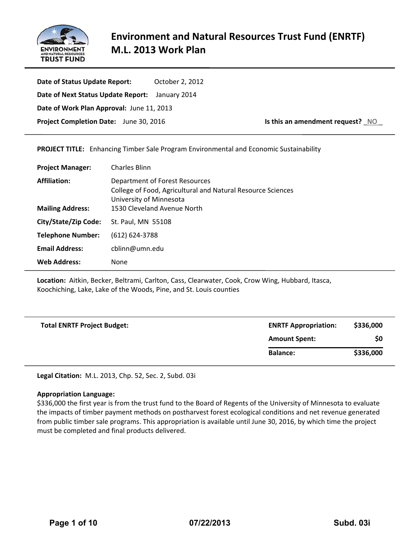

**Date of Status Update Report:**  October 2, 2012 **Date of Next Status Update Report:**  January 2014 **Date of Work Plan Approval:** June 11, 2013 **Project Completion Date:** June 30, 2016 **Is this an amendment request?** NO

**PROJECT TITLE:** Enhancing Timber Sale Program Environmental and Economic Sustainability

| <b>Charles Blinn</b>                                                                                                     |
|--------------------------------------------------------------------------------------------------------------------------|
| Department of Forest Resources<br>College of Food, Agricultural and Natural Resource Sciences<br>University of Minnesota |
| 1530 Cleveland Avenue North                                                                                              |
| St. Paul, MN 55108                                                                                                       |
| $(612) 624 - 3788$                                                                                                       |
| cblinn@umn.edu                                                                                                           |
| None                                                                                                                     |
|                                                                                                                          |

**Location:** Aitkin, Becker, Beltrami, Carlton, Cass, Clearwater, Cook, Crow Wing, Hubbard, Itasca, Koochiching, Lake, Lake of the Woods, Pine, and St. Louis counties

| <b>Total ENRTF Project Budget:</b> | <b>ENRTF Appropriation:</b> | \$336,000 |
|------------------------------------|-----------------------------|-----------|
|                                    | <b>Amount Spent:</b>        | \$0       |
|                                    | <b>Balance:</b>             | \$336,000 |

**Legal Citation:** M.L. 2013, Chp. 52, Sec. 2, Subd. 03i

### **Appropriation Language:**

\$336,000 the first year is from the trust fund to the Board of Regents of the University of Minnesota to evaluate the impacts of timber payment methods on postharvest forest ecological conditions and net revenue generated from public timber sale programs. This appropriation is available until June 30, 2016, by which time the project must be completed and final products delivered.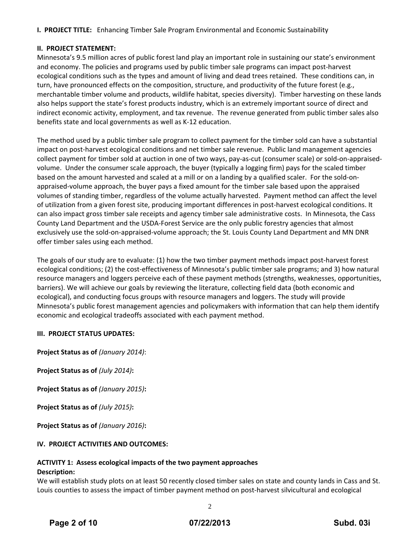**I. PROJECT TITLE:** Enhancing Timber Sale Program Environmental and Economic Sustainability

# **II. PROJECT STATEMENT:**

Minnesota's 9.5 million acres of public forest land play an important role in sustaining our state's environment and economy. The policies and programs used by public timber sale programs can impact post‐harvest ecological conditions such as the types and amount of living and dead trees retained. These conditions can, in turn, have pronounced effects on the composition, structure, and productivity of the future forest (e.g., merchantable timber volume and products, wildlife habitat, species diversity). Timber harvesting on these lands also helps support the state's forest products industry, which is an extremely important source of direct and indirect economic activity, employment, and tax revenue. The revenue generated from public timber sales also benefits state and local governments as well as K‐12 education.

The method used by a public timber sale program to collect payment for the timber sold can have a substantial impact on post‐harvest ecological conditions and net timber sale revenue. Public land management agencies collect payment for timber sold at auction in one of two ways, pay‐as‐cut (consumer scale) or sold‐on‐appraised‐ volume. Under the consumer scale approach, the buyer (typically a logging firm) pays for the scaled timber based on the amount harvested and scaled at a mill or on a landing by a qualified scaler. For the sold-onappraised‐volume approach, the buyer pays a fixed amount for the timber sale based upon the appraised volumes of standing timber, regardless of the volume actually harvested. Payment method can affect the level of utilization from a given forest site, producing important differences in post-harvest ecological conditions. It can also impact gross timber sale receipts and agency timber sale administrative costs. In Minnesota, the Cass County Land Department and the USDA‐Forest Service are the only public forestry agencies that almost exclusively use the sold‐on‐appraised‐volume approach; the St. Louis County Land Department and MN DNR offer timber sales using each method.

The goals of our study are to evaluate: (1) how the two timber payment methods impact post‐harvest forest ecological conditions; (2) the cost‐effectiveness of Minnesota's public timber sale programs; and 3) how natural resource managers and loggers perceive each of these payment methods (strengths, weaknesses, opportunities, barriers). We will achieve our goals by reviewing the literature, collecting field data (both economic and ecological), and conducting focus groups with resource managers and loggers. The study will provide Minnesota's public forest management agencies and policymakers with information that can help them identify economic and ecological tradeoffs associated with each payment method.

# **III. PROJECT STATUS UPDATES:**

**Project Status as of** *(January 2014)*:

**Project Status as of** *(July 2014)***:**

**Project Status as of** *(January 2015)***:**

**Project Status as of** *(July 2015)***:**

**Project Status as of** *(January 2016)***:**

# **IV. PROJECT ACTIVITIES AND OUTCOMES:**

# **ACTIVITY 1: Assess ecological impacts of the two payment approaches Description:**

We will establish study plots on at least 50 recently closed timber sales on state and county lands in Cass and St. Louis counties to assess the impact of timber payment method on post-harvest silvicultural and ecological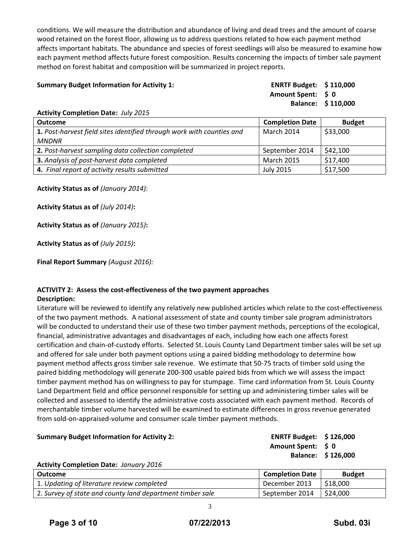conditions. We will measure the distribution and abundance of living and dead trees and the amount of coarse wood retained on the forest floor, allowing us to address questions related to how each payment method affects important habitats. The abundance and species of forest seedlings will also be measured to examine how each payment method affects future forest composition. Results concerning the impacts of timber sale payment method on forest habitat and composition will be summarized in project reports.

# **Summary Budget Information for Activity 1: ENRTF Budget: \$ 110,000**

**Amount Spent: \$ 0 Balance: \$ 110,000**

### **Activity Completion Date:** *July 2015*

| <b>Outcome</b>                                                        | <b>Completion Date</b> | <b>Budget</b> |
|-----------------------------------------------------------------------|------------------------|---------------|
| 1. Post-harvest field sites identified through work with counties and | March 2014             | \$33,000      |
| <b>MNDNR</b>                                                          |                        |               |
| 2. Post-harvest sampling data collection completed                    | September 2014         | \$42,100      |
| 3. Analysis of post-harvest data completed                            | <b>March 2015</b>      | \$17,400      |
| 4. Final report of activity results submitted                         | <b>July 2015</b>       | \$17,500      |

**Activity Status as of** *(January 2014)*:

**Activity Status as of** *(July 2014)***:**

**Activity Status as of** *(January 2015)***:**

**Activity Status as of** *(July 2015)***:**

**Final Report Summary** *(August 2016):*

# **ACTIVITY 2: Assess the cost‐effectiveness of the two payment approaches**

### **Description:**

Literature will be reviewed to identify any relatively new published articles which relate to the cost-effectiveness of the two payment methods. A national assessment of state and county timber sale program administrators will be conducted to understand their use of these two timber payment methods, perceptions of the ecological, financial, administrative advantages and disadvantages of each, including how each one affects forest certification and chain‐of‐custody efforts. Selected St. Louis County Land Department timber sales will be set up and offered for sale under both payment options using a paired bidding methodology to determine how payment method affects gross timber sale revenue. We estimate that 50‐75 tracts of timber sold using the paired bidding methodology will generate 200‐300 usable paired bids from which we will assess the impact timber payment method has on willingness to pay for stumpage. Time card information from St. Louis County Land Department field and office personnel responsible for setting up and administering timber sales will be collected and assessed to identify the administrative costs associated with each payment method. Records of merchantable timber volume harvested will be examined to estimate differences in gross revenue generated from sold‐on‐appraised‐volume and consumer scale timber payment methods.

# **Summary Budget Information for Activity 2: ENRTF Budget: \$ 126,000**

**Amount Spent: \$ 0 Balance: \$ 126,000**

# **Activity Completion Date:** *January 2016*

| Outcome                                                   | <b>Completion Date</b> | <b>Budget</b> |
|-----------------------------------------------------------|------------------------|---------------|
| 1. Updating of literature review completed                | December 2013          | \$18,000      |
| 2. Survey of state and county land department timber sale | September 2014         | \$24,000      |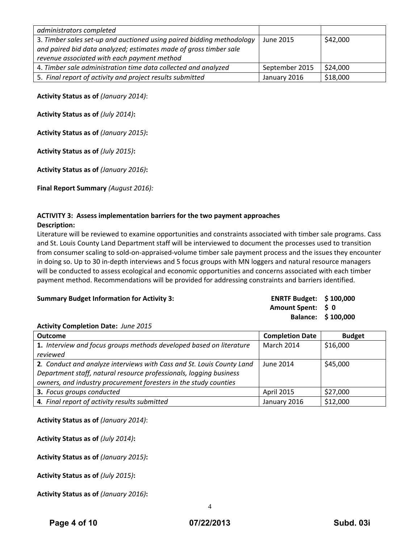| administrators completed                                              |                |          |
|-----------------------------------------------------------------------|----------------|----------|
| 3. Timber sales set-up and auctioned using paired bidding methodology | June 2015      | \$42,000 |
| and paired bid data analyzed; estimates made of gross timber sale     |                |          |
| revenue associated with each payment method                           |                |          |
| 4. Timber sale administration time data collected and analyzed        | September 2015 | \$24,000 |
| 5. Final report of activity and project results submitted             | January 2016   | \$18,000 |

**Activity Status as of** *(January 2014)*:

**Activity Status as of** *(July 2014)***:**

**Activity Status as of** *(January 2015)***:**

**Activity Status as of** *(July 2015)***:**

**Activity Status as of** *(January 2016)***:**

**Final Report Summary** *(August 2016):*

# **ACTIVITY 3: Assess implementation barriers for the two payment approaches**

### **Description:**

Literature will be reviewed to examine opportunities and constraints associated with timber sale programs. Cass and St. Louis County Land Department staff will be interviewed to document the processes used to transition from consumer scaling to sold-on-appraised-volume timber sale payment process and the issues they encounter in doing so. Up to 30 in‐depth interviews and 5 focus groups with MN loggers and natural resource managers will be conducted to assess ecological and economic opportunities and concerns associated with each timber payment method. Recommendations will be provided for addressing constraints and barriers identified.

# **Summary Budget Information for Activity 3:**

| <b>ENRTF Budget:</b> | \$100,000 |
|----------------------|-----------|
| Amount Spent:        | S 0       |
| <b>Balance:</b>      | \$100,000 |

# **Activity Completion Date:** *June 2015*

| <b>Outcome</b>                                                        | <b>Completion Date</b> | <b>Budget</b> |
|-----------------------------------------------------------------------|------------------------|---------------|
| 1. Interview and focus groups methods developed based on literature   | March 2014             | \$16,000      |
| reviewed                                                              |                        |               |
| 2. Conduct and analyze interviews with Cass and St. Louis County Land | June 2014              | \$45,000      |
| Department staff, natural resource professionals, logging business    |                        |               |
| owners, and industry procurement foresters in the study counties      |                        |               |
| 3. Focus groups conducted                                             | April 2015             | \$27,000      |
| 4. Final report of activity results submitted                         | January 2016           | \$12,000      |

**Activity Status as of** *(January 2014)*:

**Activity Status as of** *(July 2014)***:**

**Activity Status as of** *(January 2015)***:**

**Activity Status as of** *(July 2015)***:**

**Activity Status as of** *(January 2016)***:**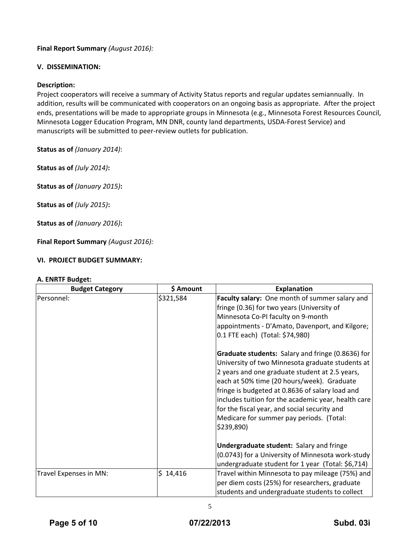# **Final Report Summary** *(August 2016):*

# **V. DISSEMINATION:**

# **Description:**

Project cooperators will receive a summary of Activity Status reports and regular updates semiannually. In addition, results will be communicated with cooperators on an ongoing basis as appropriate. After the project ends, presentations will be made to appropriate groups in Minnesota (e.g., Minnesota Forest Resources Council, Minnesota Logger Education Program, MN DNR, county land departments, USDA‐Forest Service) and manuscripts will be submitted to peer-review outlets for publication.

**Status as of** *(January 2014)*:

**Status as of** *(July 2014)***:**

**Status as of** *(January 2015)***:**

**Status as of** *(July 2015)***:**

**Status as of** *(January 2016)***:**

**Final Report Summary** *(August 2016):*

# **VI. PROJECT BUDGET SUMMARY:**

# 5 **A. ENRTF Budget: Budget Category \$ Amount Explanation** Personnel: **Faculty salary:** One month of summer salary and salary and series are proportionally salary and proportional series of  $\vert$  \$321,584 fringe (0.36) for two years (University of Minnesota Co‐PI faculty on 9‐month appointments ‐ D'Amato, Davenport, and Kilgore; 0.1 FTE each) (Total: \$74,980) **Graduate students:** Salary and fringe (0.8636) for University of two Minnesota graduate students at 2 years and one graduate student at 2.5 years, each at 50% time (20 hours/week). Graduate fringe is budgeted at 0.8636 of salary load and includes tuition for the academic year, health care for the fiscal year, and social security and Medicare for summer pay periods. (Total: \$239,890) **Undergraduate student:** Salary and fringe (0.0743) for a University of Minnesota work‐study undergraduate student for 1 year (Total: \$6,714) Travel Expenses in MN: \$ 14,416 Travel within Minnesota to pay mileage (75%) and per diem costs (25%) for researchers, graduate students and undergraduate students to collect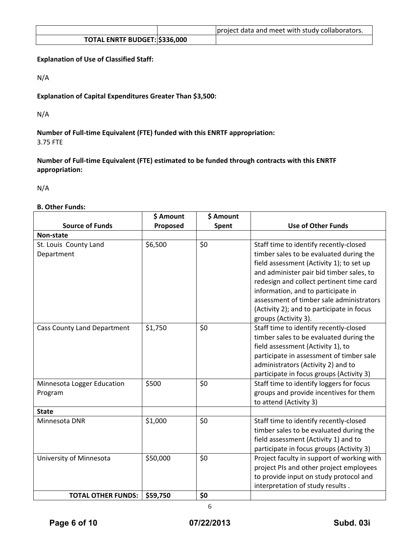|                               | project data and meet with study collaborators. |
|-------------------------------|-------------------------------------------------|
| TOTAL ENRTF BUDGET: \$336,000 |                                                 |

**Explanation of Use of Classified Staff:**

N/A

**Explanation of Capital Expenditures Greater Than \$3,500:**

N/A

**Number of Full‐time Equivalent (FTE) funded with this ENRTF appropriation:** 3.75 FTE

**Number of Full‐time Equivalent (FTE) estimated to be funded through contracts with this ENRTF appropriation:**

N/A

# **B. Other Funds:**

|                                    | \$ Amount | \$ Amount |                                            |
|------------------------------------|-----------|-----------|--------------------------------------------|
| <b>Source of Funds</b>             | Proposed  | Spent     | <b>Use of Other Funds</b>                  |
| Non-state                          |           |           |                                            |
| St. Louis County Land              | \$6,500   | \$0       | Staff time to identify recently-closed     |
| Department                         |           |           | timber sales to be evaluated during the    |
|                                    |           |           | field assessment (Activity 1); to set up   |
|                                    |           |           | and administer pair bid timber sales, to   |
|                                    |           |           | redesign and collect pertinent time card   |
|                                    |           |           | information, and to participate in         |
|                                    |           |           | assessment of timber sale administrators   |
|                                    |           |           | (Activity 2); and to participate in focus  |
|                                    |           |           | groups (Activity 3).                       |
| <b>Cass County Land Department</b> | \$1,750   | \$0       | Staff time to identify recently-closed     |
|                                    |           |           | timber sales to be evaluated during the    |
|                                    |           |           | field assessment (Activity 1), to          |
|                                    |           |           | participate in assessment of timber sale   |
|                                    |           |           | administrators (Activity 2) and to         |
|                                    |           |           | participate in focus groups (Activity 3)   |
| Minnesota Logger Education         | \$500     | \$0       | Staff time to identify loggers for focus   |
| Program                            |           |           | groups and provide incentives for them     |
|                                    |           |           | to attend (Activity 3)                     |
| <b>State</b>                       |           |           |                                            |
| Minnesota DNR                      | \$1,000   | \$0       | Staff time to identify recently-closed     |
|                                    |           |           | timber sales to be evaluated during the    |
|                                    |           |           | field assessment (Activity 1) and to       |
|                                    |           |           | participate in focus groups (Activity 3)   |
| University of Minnesota            | \$50,000  | \$0       | Project faculty in support of working with |
|                                    |           |           | project PIs and other project employees    |
|                                    |           |           | to provide input on study protocol and     |
|                                    |           |           | interpretation of study results.           |
| <b>TOTAL OTHER FUNDS:</b>          | \$59,750  | \$0       |                                            |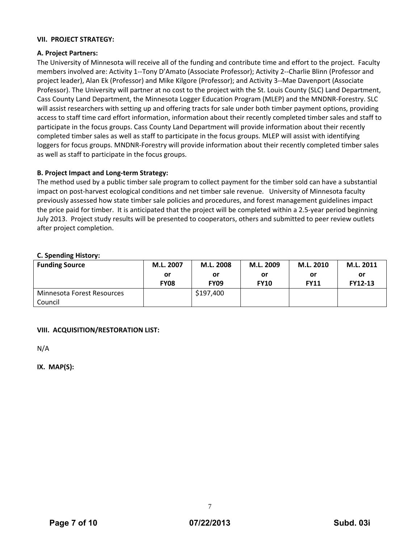# **VII. PROJECT STRATEGY:**

# **A. Project Partners:**

The University of Minnesota will receive all of the funding and contribute time and effort to the project. Faculty members involved are: Activity 1‐‐Tony D'Amato (Associate Professor); Activity 2‐‐Charlie Blinn (Professor and project leader), Alan Ek (Professor) and Mike Kilgore (Professor); and Activity 3‐‐Mae Davenport (Associate Professor). The University will partner at no cost to the project with the St. Louis County (SLC) Land Department, Cass County Land Department, the Minnesota Logger Education Program (MLEP) and the MNDNR‐Forestry. SLC will assist researchers with setting up and offering tracts for sale under both timber payment options, providing access to staff time card effort information, information about their recently completed timber sales and staff to participate in the focus groups. Cass County Land Department will provide information about their recently completed timber sales as well as staff to participate in the focus groups. MLEP will assist with identifying loggers for focus groups. MNDNR‐Forestry will provide information about their recently completed timber sales as well as staff to participate in the focus groups.

# **B. Project Impact and Long‐term Strategy:**

The method used by a public timber sale program to collect payment for the timber sold can have a substantial impact on post-harvest ecological conditions and net timber sale revenue. University of Minnesota faculty previously assessed how state timber sale policies and procedures, and forest management guidelines impact the price paid for timber. It is anticipated that the project will be completed within a 2.5‐year period beginning July 2013. Project study results will be presented to cooperators, others and submitted to peer review outlets after project completion.

# **C. Spending History:**

| .<br><b>Funding Source</b> | M.L. 2007<br>or<br><b>FY08</b> | M.L. 2008<br>or<br><b>FY09</b> | M.L. 2009<br>or<br><b>FY10</b> | M.L. 2010<br>or<br><b>FY11</b> | M.L. 2011<br>or<br><b>FY12-13</b> |
|----------------------------|--------------------------------|--------------------------------|--------------------------------|--------------------------------|-----------------------------------|
| Minnesota Forest Resources |                                | \$197,400                      |                                |                                |                                   |
| Council                    |                                |                                |                                |                                |                                   |

# **VIII. ACQUISITION/RESTORATION LIST:**

N/A

**IX. MAP(S):**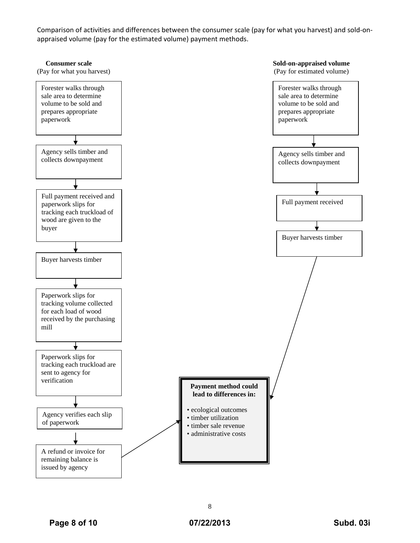Comparison of activities and differences between the consumer scale (pay for what you harvest) and sold‐on‐ appraised volume (pay for the estimated volume) payment methods.

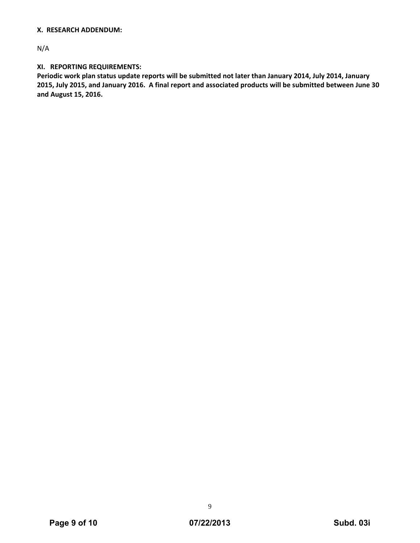# **X. RESEARCH ADDENDUM:**

N/A

# **XI. REPORTING REQUIREMENTS:**

Periodic work plan status update reports will be submitted not later than January 2014, July 2014, January 2015, July 2015, and January 2016. A final report and associated products will be submitted between June 30 **and August 15, 2016.**